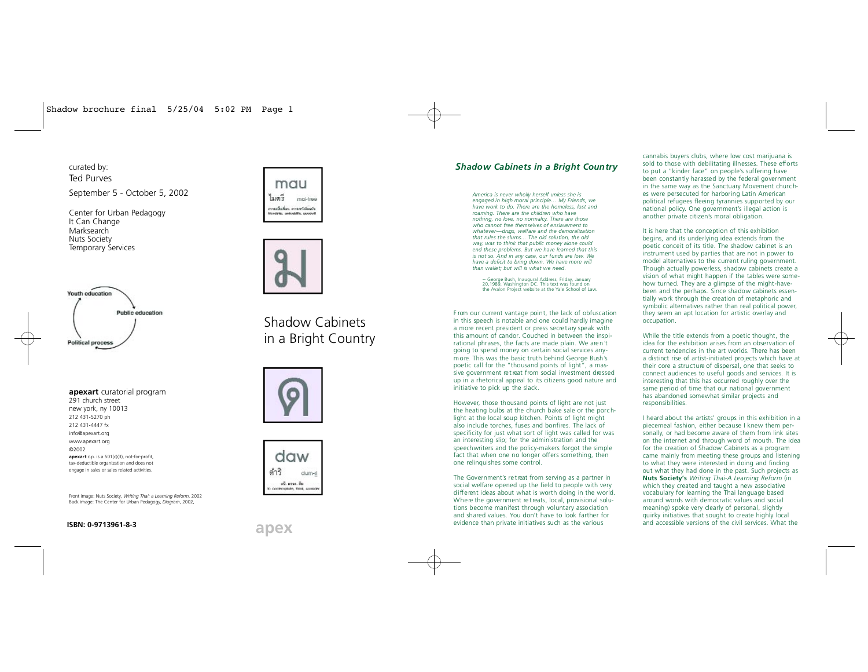curated by: Ted Purves September 5 - October 5, 2002

Center for Urban Pedagogy It Can Change Marksearch Nuts Society **Temporary Services** 





# Youth education Public education **Political process**

apexart curatorial program 291 church street new vork, ny 10013 212 431-5270 nh

212 431-4447 fx info@apexart.org www.apexart.org @2002 apexart c.p. is a 501(c)(3), not-for-profit tax-deductible organization and does not engage in sales or sales related activities.

Front image: Nuts Society. Writing Thai: a Learning Reform. 2002 Back image: The Center for Urban Pedagogy, Diagram, 2002,

# Shadow Cabinets in a Bright Country





# **Shadow Cabinets in a Bright Country**

America is never wholly herself unless she is engaged in high moral principle... My Friends, we have work to do. There are the homeless, lost and roaming. There are the children who have nothing, no love, no normalcy. There are those who cannot free themselves of enslavement to whatever-drugs, welfare and the demoralization that rules the slums... The old solution, the old way, was to think that public money alone could end these problems. But we have learned that this is not so. And in any case, our funds are low. We have a deficit to bring down. We have more will than wallet: but will is what we need.

-- George Bush, Inaugural Address, Friday, January<br>20 1989 Washington DC This text was found on the Avalon Project website at the Yale School of Law.

From our current vantage point, the lack of obfuscation in this speech is notable and one could hardly imagine a more recent president or press secretary speak with this amount of candor. Couched in between the inspirational phrases, the facts are made plain. We aren't going to spend money on certain social services anymore. This was the basic truth behind George Bush's poetic call for the "thousand points of light", a massive government retreat from social investment dressed up in a rhetorical appeal to its citizens good nature and initiative to pick up the slack.

However, those thousand points of light are not just the heating bulbs at the church bake sale or the porchlight at the local soup kitchen. Points of light might also include torches, fuses and bonfires. The lack of specificity for just what sort of light was called for was an interesting slip; for the administration and the speechwriters and the policy-makers forgot the simple fact that when one no longer offers something, then one relinquishes some control.

The Government's retreat from serving as a partner in social welfare opened up the field to people with very different ideas about what is worth doing in the world. Where the government retreats, local, provisional solutions become manifest through voluntary association and shared values. You don't have to look farther for evidence than private initiatives such as the various

cannabis buyers clubs, where low cost marijuana is sold to those with debilitating illnesses. These efforts to put a "kinder face" on people's suffering have been constantly harassed by the federal government in the same way as the Sanctuary Movement churches were persecuted for harboring Latin American political refugees fleeing tyrannies supported by our national policy. One government's illegal action is another private citizen's moral obligation.

It is here that the conception of this exhibition begins, and its underlying idea extends from the poetic conceit of its title. The shadow cabinet is an instrument used by parties that are not in power to model alternatives to the current ruling government. Though actually powerless, shadow cabinets create a vision of what might happen if the tables were somehow turned. They are a glimpse of the might-havebeen and the perhaps. Since shadow cabinets essentially work through the creation of metaphoric and symbolic alternatives rather than real political power. they seem an apt location for artistic overlay and occupation.

While the title extends from a poetic thought, the idea for the exhibition arises from an observation of current tendencies in the art worlds. There has been a distinct rise of artist-initiated projects which have at their core a structure of dispersal, one that seeks to connect audiences to useful goods and services. It is interesting that this has occurred roughly over the same period of time that our national government has abandoned somewhat similar projects and responsibilities.

I heard about the artists' groups in this exhibition in a piecemeal fashion, either because I knew them personally, or had become aware of them from link sites on the internet and through word of mouth. The idea for the creation of Shadow Cabinets as a program came mainly from meeting these groups and listening to what they were interested in doing and finding out what they had done in the past. Such projects as Nuts Society's Writing Thai-A Learning Reform (in which they created and taught a new associative vocabulary for learning the Thai language based a round words with democratic values and social meaning) spoke very clearly of personal, slightly quirky initiatives that sought to create highly local and accessible versions of the civil services. What the

### ISBN: 0-9713961-8-3